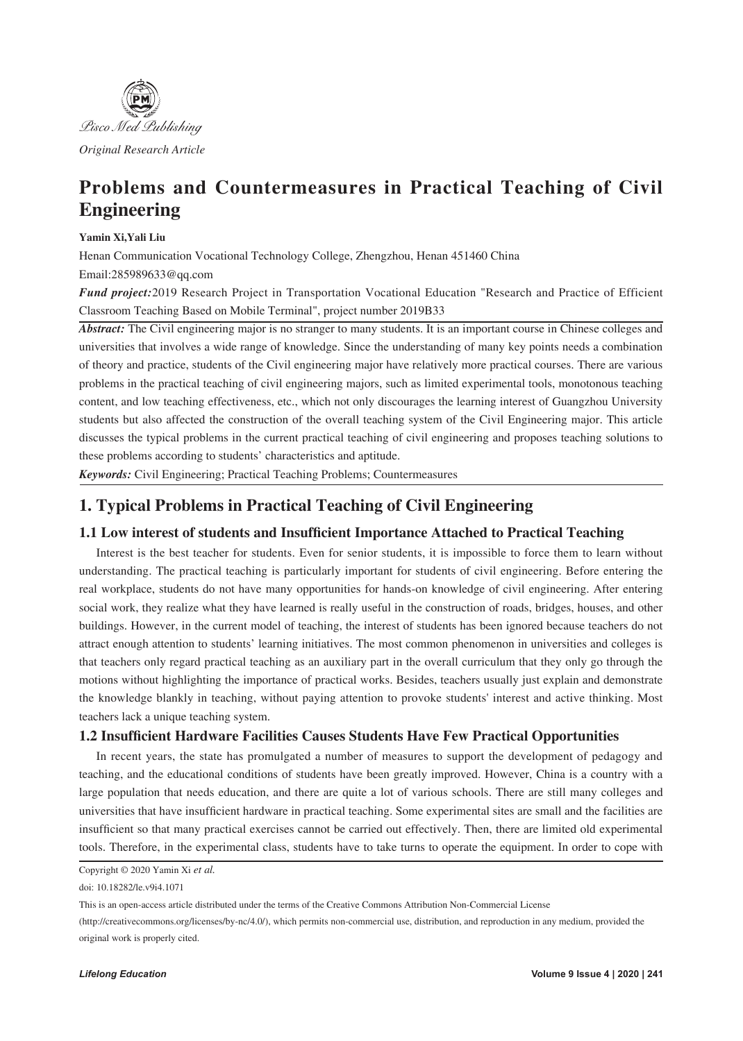

# **Problems and Countermeasures in Practical Teaching of Civil Engineering**

### **Yamin Xi,Yali Liu**

Henan Communication Vocational Technology College, Zhengzhou, Henan 451460 China Email:285989633@qq.com

*Fund project:*2019 Research Project in Transportation Vocational Education "Research and Practice of Efficient Classroom Teaching Based on Mobile Terminal", project number 2019B33

*Abstract:* The Civil engineering major is no stranger to many students. It is an important course in Chinese colleges and universities that involves a wide range of knowledge. Since the understanding of many key points needs a combination of theory and practice, students of the Civil engineering major have relatively more practical courses. There are various problems in the practical teaching of civil engineering majors, such as limited experimental tools, monotonous teaching content, and low teaching effectiveness, etc., which not only discourages the learning interest of Guangzhou University students but also affected the construction of the overall teaching system of the Civil Engineering major. This article discusses the typical problems in the current practical teaching of civil engineering and proposes teaching solutions to these problems according to students' characteristics and aptitude.

*Keywords:* Civil Engineering; Practical Teaching Problems; Countermeasures

## **1. Typical Problems in Practical Teaching of Civil Engineering**

### **1.1 Low interest of students and Insufficient Importance Attached to Practical Teaching**

Interest is the best teacher for students. Even for senior students, it is impossible to force them to learn without understanding. The practical teaching is particularly important for students of civil engineering. Before entering the real workplace, students do not have many opportunities for hands-on knowledge of civil engineering. After entering social work, they realize what they have learned is really useful in the construction of roads, bridges, houses, and other buildings. However, in the current model of teaching, the interest of students has been ignored because teachers do not attract enough attention to students' learning initiatives. The most common phenomenon in universities and colleges is that teachers only regard practical teaching as an auxiliary part in the overall curriculum that they only go through the motions without highlighting the importance of practical works. Besides, teachers usually just explain and demonstrate the knowledge blankly in teaching, without paying attention to provoke students' interest and active thinking. Most teachers lack a unique teaching system.

### **1.2 Insufficient Hardware Facilities Causes Students Have Few Practical Opportunities**

In recent years, the state has promulgated a number of measures to support the development of pedagogy and teaching, and the educational conditions of students have been greatly improved. However, China is a country with a large population that needs education, and there are quite a lot of various schools. There are still many colleges and universities that have insufficient hardware in practical teaching. Some experimental sites are small and the facilities are insufficient so that many practical exercises cannot be carried out effectively. Then, there are limited old experimental tools. Therefore, in the experimental class, students have to take turns to operate the equipment. In order to cope with

Copyright © 2020 Yamin Xi *et al.*

doi: 10.18282/le.v9i4.1071

This is an open-access article distributed under the terms of the Creative Commons Attribution Non-Commercial License

<sup>(</sup>http://creativecommons.org/licenses/by-nc/4.0/), which permits non-commercial use, distribution, and reproduction in any medium, provided the original work is properly cited.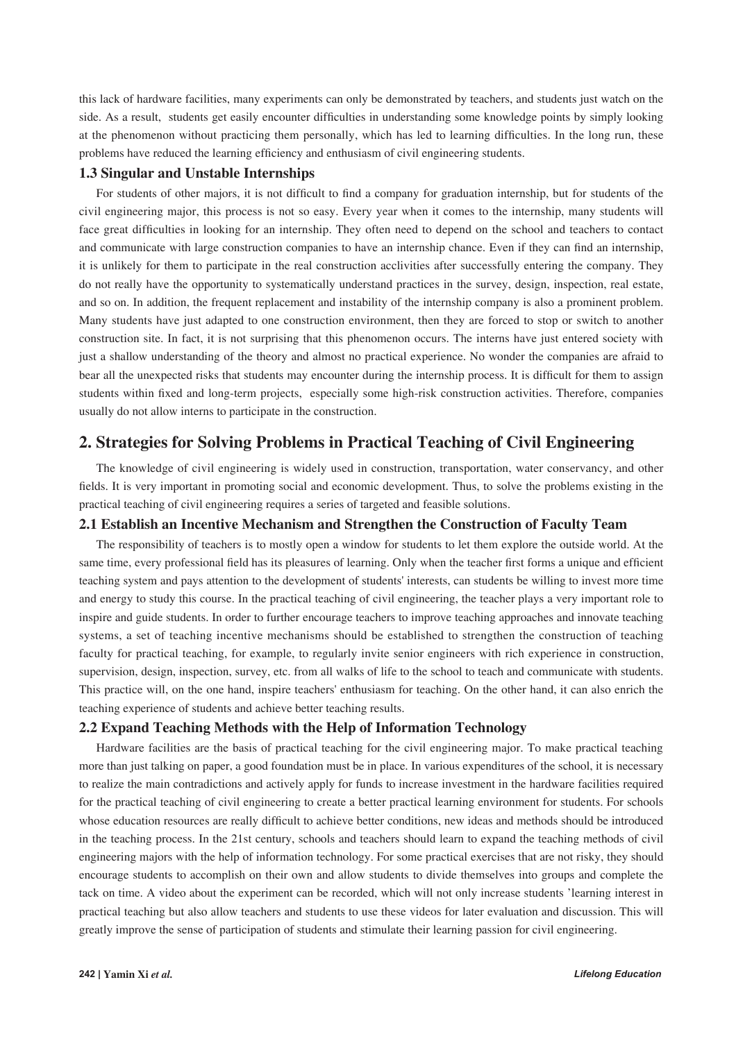this lack of hardware facilities, many experiments can only be demonstrated by teachers, and students just watch on the side. As a result, students get easily encounter difficulties in understanding some knowledge points by simply looking at the phenomenon without practicing them personally, which has led to learning difficulties. In the long run, these problems have reduced the learning efficiency and enthusiasm of civil engineering students.

### **1.3 Singular and Unstable Internships**

For students of other majors, it is not difficult to find a company for graduation internship, but for students of the civil engineering major, this process is not so easy. Every year when it comes to the internship, many students will face great difficulties in looking for an internship. They often need to depend on the school and teachers to contact and communicate with large construction companies to have an internship chance. Even if they can find an internship, it is unlikely for them to participate in the real construction acclivities after successfully entering the company. They do not really have the opportunity to systematically understand practices in the survey, design, inspection, real estate, and so on. In addition, the frequent replacement and instability of the internship company is also a prominent problem. Many students have just adapted to one construction environment, then they are forced to stop or switch to another construction site. In fact, it is not surprising that this phenomenon occurs. The interns have just entered society with just a shallow understanding of the theory and almost no practical experience. No wonder the companies are afraid to bear all the unexpected risks that students may encounter during the internship process. It is difficult for them to assign students within fixed and long-term projects, especially some high-risk construction activities. Therefore, companies usually do not allow interns to participate in the construction.

### **2. Strategies for Solving Problems in Practical Teaching of Civil Engineering**

The knowledge of civil engineering is widely used in construction, transportation, water conservancy, and other fields. It is very important in promoting social and economic development. Thus, to solve the problems existing in the practical teaching of civil engineering requires a series of targeted and feasible solutions.

### **2.1 Establish an Incentive Mechanism and Strengthen the Construction of Faculty Team**

The responsibility of teachers is to mostly open a window for students to let them explore the outside world. At the same time, every professional field has its pleasures of learning. Only when the teacher first forms a unique and efficient teaching system and pays attention to the development of students' interests, can students be willing to invest more time and energy to study this course. In the practical teaching of civil engineering, the teacher plays a very important role to inspire and guide students. In order to further encourage teachers to improve teaching approaches and innovate teaching systems, a set of teaching incentive mechanisms should be established to strengthen the construction of teaching faculty for practical teaching, for example, to regularly invite senior engineers with rich experience in construction, supervision, design, inspection, survey, etc. from all walks of life to the school to teach and communicate with students. This practice will, on the one hand, inspire teachers' enthusiasm for teaching. On the other hand, it can also enrich the teaching experience of students and achieve better teaching results.

### **2.2 Expand Teaching Methods with the Help of Information Technology**

Hardware facilities are the basis of practical teaching for the civil engineering major. To make practical teaching more than just talking on paper, a good foundation must be in place. In various expenditures of the school, it is necessary to realize the main contradictions and actively apply for funds to increase investment in the hardware facilities required for the practical teaching of civil engineering to create a better practical learning environment for students. For schools whose education resources are really difficult to achieve better conditions, new ideas and methods should be introduced in the teaching process. In the 21st century, schools and teachers should learn to expand the teaching methods of civil engineering majors with the help of information technology. For some practical exercises that are not risky, they should encourage students to accomplish on their own and allow students to divide themselves into groups and complete the tack on time. A video about the experiment can be recorded, which will not only increase students 'learning interest in practical teaching but also allow teachers and students to use these videos for later evaluation and discussion. This will greatly improve the sense of participation of students and stimulate their learning passion for civil engineering.